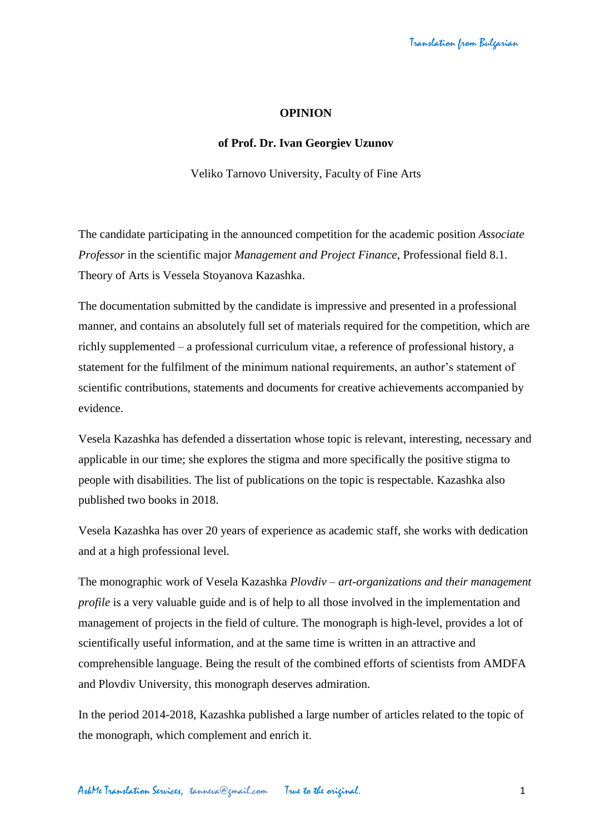## **OPINION**

## **of Prof. Dr. Ivan Georgiev Uzunov**

Veliko Tarnovo University, Faculty of Fine Arts

The candidate participating in the announced competition for the academic position *Associate Professor* in the scientific major *Management and Project Finance*, Professional field 8.1. Theory of Arts is Vessela Stoyanova Kazashka.

The documentation submitted by the candidate is impressive and presented in a professional manner, and contains an absolutely full set of materials required for the competition, which are richly supplemented – a professional curriculum vitae, a reference of professional history, a statement for the fulfilment of the minimum national requirements, an author's statement of scientific contributions, statements and documents for creative achievements accompanied by evidence.

Vesela Kazashka has defended a dissertation whose topic is relevant, interesting, necessary and applicable in our time; she explores the stigma and more specifically the positive stigma to people with disabilities. The list of publications on the topic is respectable. Kazashka also published two books in 2018.

Vesela Kazashka has over 20 years of experience as academic staff, she works with dedication and at a high professional level.

The monographic work of Vesela Kazashka *Plovdiv – art-organizations and their management profile* is a very valuable guide and is of help to all those involved in the implementation and management of projects in the field of culture. The monograph is high-level, provides a lot of scientifically useful information, and at the same time is written in an attractive and comprehensible language. Being the result of the combined efforts of scientists from AMDFA and Plovdiv University, this monograph deserves admiration.

In the period 2014-2018, Kazashka published a large number of articles related to the topic of the monograph, which complement and enrich it.